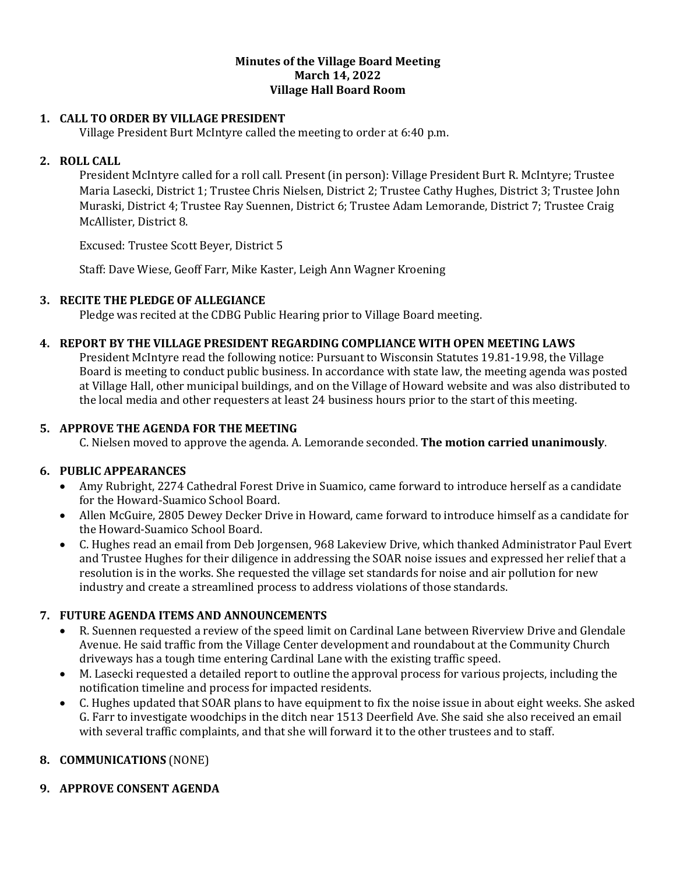#### **Minutes of the Village Board Meeting March 14, 2022 Village Hall Board Room**

## **1. CALL TO ORDER BY VILLAGE PRESIDENT**

Village President Burt McIntyre called the meeting to order at 6:40 p.m.

# **2. ROLL CALL**

President McIntyre called for a roll call. Present (in person): Village President Burt R. McIntyre; Trustee Maria Lasecki, District 1; Trustee Chris Nielsen, District 2; Trustee Cathy Hughes, District 3; Trustee John Muraski, District 4; Trustee Ray Suennen, District 6; Trustee Adam Lemorande, District 7; Trustee Craig McAllister, District 8.

Excused: Trustee Scott Beyer, District 5

Staff: Dave Wiese, Geoff Farr, Mike Kaster, Leigh Ann Wagner Kroening

#### **3. RECITE THE PLEDGE OF ALLEGIANCE**

Pledge was recited at the CDBG Public Hearing prior to Village Board meeting.

#### **4. REPORT BY THE VILLAGE PRESIDENT REGARDING COMPLIANCE WITH OPEN MEETING LAWS**

President McIntyre read the following notice: Pursuant to Wisconsin Statutes 19.81-19.98, the Village Board is meeting to conduct public business. In accordance with state law, the meeting agenda was posted at Village Hall, other municipal buildings, and on the Village of Howard website and was also distributed to the local media and other requesters at least 24 business hours prior to the start of this meeting.

#### **5. APPROVE THE AGENDA FOR THE MEETING**

C. Nielsen moved to approve the agenda. A. Lemorande seconded. **The motion carried unanimously**.

#### **6. PUBLIC APPEARANCES**

- Amy Rubright, 2274 Cathedral Forest Drive in Suamico, came forward to introduce herself as a candidate for the Howard-Suamico School Board.
- Allen McGuire, 2805 Dewey Decker Drive in Howard, came forward to introduce himself as a candidate for the Howard-Suamico School Board.
- C. Hughes read an email from Deb Jorgensen, 968 Lakeview Drive, which thanked Administrator Paul Evert and Trustee Hughes for their diligence in addressing the SOAR noise issues and expressed her relief that a resolution is in the works. She requested the village set standards for noise and air pollution for new industry and create a streamlined process to address violations of those standards.

#### **7. FUTURE AGENDA ITEMS AND ANNOUNCEMENTS**

- R. Suennen requested a review of the speed limit on Cardinal Lane between Riverview Drive and Glendale Avenue. He said traffic from the Village Center development and roundabout at the Community Church driveways has a tough time entering Cardinal Lane with the existing traffic speed.
- M. Lasecki requested a detailed report to outline the approval process for various projects, including the notification timeline and process for impacted residents.
- C. Hughes updated that SOAR plans to have equipment to fix the noise issue in about eight weeks. She asked G. Farr to investigate woodchips in the ditch near 1513 Deerfield Ave. She said she also received an email with several traffic complaints, and that she will forward it to the other trustees and to staff.

#### **8. COMMUNICATIONS** (NONE)

# **9. APPROVE CONSENT AGENDA**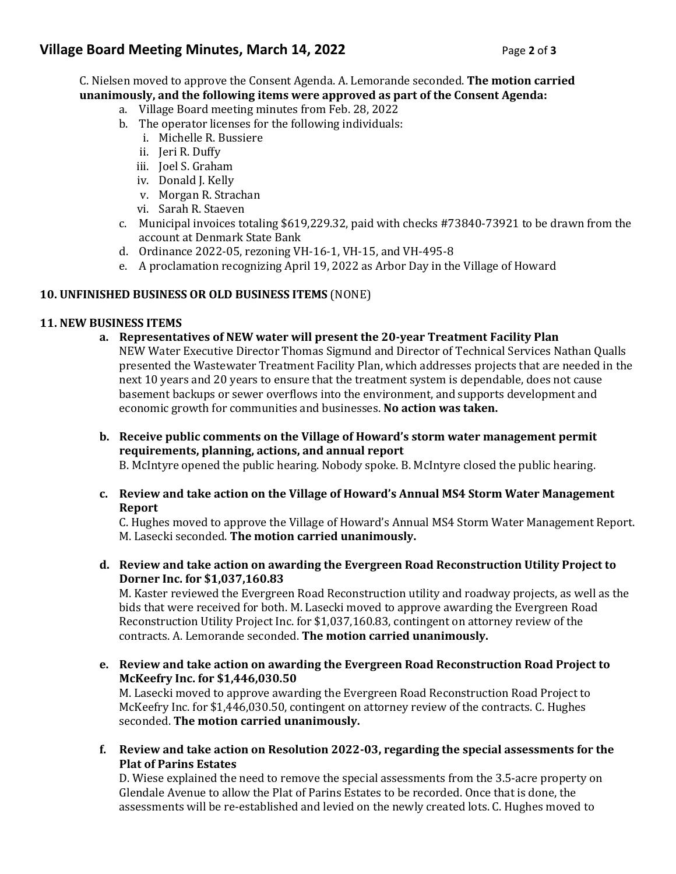# **Village Board Meeting Minutes, March 14, 2022** Page 2 of 3

C. Nielsen moved to approve the Consent Agenda. A. Lemorande seconded. **The motion carried unanimously, and the following items were approved as part of the Consent Agenda:**

- a. Village Board meeting minutes from Feb. 28, 2022
- b. The operator licenses for the following individuals:
	- i. Michelle R. Bussiere
	- ii. Jeri R. Duffy
	- iii. Joel S. Graham
	- iv. Donald J. Kelly
	- v. Morgan R. Strachan
	- vi. Sarah R. Staeven
- c. Municipal invoices totaling \$619,229.32, paid with checks #73840-73921 to be drawn from the account at Denmark State Bank
- d. Ordinance 2022-05, rezoning VH-16-1, VH-15, and VH-495-8
- e. A proclamation recognizing April 19, 2022 as Arbor Day in the Village of Howard

#### **10. UNFINISHED BUSINESS OR OLD BUSINESS ITEMS** (NONE)

## **11. NEW BUSINESS ITEMS**

- **a. Representatives of NEW water will present the 20-year Treatment Facility Plan** NEW Water Executive Director Thomas Sigmund and Director of Technical Services Nathan Qualls presented the Wastewater Treatment Facility Plan, which addresses projects that are needed in the next 10 years and 20 years to ensure that the treatment system is dependable, does not cause basement backups or sewer overflows into the environment, and supports development and economic growth for communities and businesses. **No action was taken.**
- **b. Receive public comments on the Village of Howard's storm water management permit requirements, planning, actions, and annual report** B. McIntyre opened the public hearing. Nobody spoke. B. McIntyre closed the public hearing.
- **c. Review and take action on the Village of Howard's Annual MS4 Storm Water Management Report**

C. Hughes moved to approve the Village of Howard's Annual MS4 Storm Water Management Report. M. Lasecki seconded. **The motion carried unanimously.** 

**d. Review and take action on awarding the Evergreen Road Reconstruction Utility Project to Dorner Inc. for \$1,037,160.83**

M. Kaster reviewed the Evergreen Road Reconstruction utility and roadway projects, as well as the bids that were received for both. M. Lasecki moved to approve awarding the Evergreen Road Reconstruction Utility Project Inc. for \$1,037,160.83, contingent on attorney review of the contracts. A. Lemorande seconded. **The motion carried unanimously.** 

**e. Review and take action on awarding the Evergreen Road Reconstruction Road Project to McKeefry Inc. for \$1,446,030.50**

M. Lasecki moved to approve awarding the Evergreen Road Reconstruction Road Project to McKeefry Inc. for \$1,446,030.50, contingent on attorney review of the contracts. C. Hughes seconded. **The motion carried unanimously.** 

**f. Review and take action on Resolution 2022-03, regarding the special assessments for the Plat of Parins Estates**

D. Wiese explained the need to remove the special assessments from the 3.5-acre property on Glendale Avenue to allow the Plat of Parins Estates to be recorded. Once that is done, the assessments will be re-established and levied on the newly created lots. C. Hughes moved to